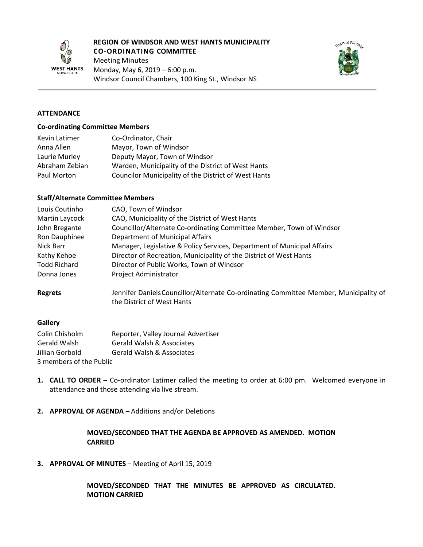

#### **REGION OF WINDSOR AND WEST HANTS MUNICIPALITY CO-ORDINATING COMMITTEE**

Meeting Minutes Monday, May 6, 2019 – 6:00 p.m. Windsor Council Chambers, 100 King St., Windsor NS



#### **ATTENDANCE**

#### **Co-ordinating Committee Members**

| Kevin Latimer  | Co-Ordinator, Chair                                  |
|----------------|------------------------------------------------------|
| Anna Allen     | Mayor, Town of Windsor                               |
| Laurie Murley  | Deputy Mayor, Town of Windsor                        |
| Abraham Zebian | Warden, Municipality of the District of West Hants   |
| Paul Morton    | Councilor Municipality of the District of West Hants |

#### **Staff/Alternate Committee Members**

| CAO, Town of Windsor                                                                                                |  |
|---------------------------------------------------------------------------------------------------------------------|--|
| CAO, Municipality of the District of West Hants                                                                     |  |
| Councillor/Alternate Co-ordinating Committee Member, Town of Windsor<br>John Bregante                               |  |
| <b>Department of Municipal Affairs</b><br>Ron Dauphinee                                                             |  |
| Manager, Legislative & Policy Services, Department of Municipal Affairs                                             |  |
| Director of Recreation, Municipality of the District of West Hants                                                  |  |
| Director of Public Works, Town of Windsor                                                                           |  |
| <b>Project Administrator</b>                                                                                        |  |
| Jennifer Daniels Councillor/Alternate Co-ordinating Committee Member, Municipality of<br>the District of West Hants |  |
|                                                                                                                     |  |

#### **Gallery**

| Colin Chisholm          | Reporter, Valley Journal Advertiser |
|-------------------------|-------------------------------------|
| Gerald Walsh            | Gerald Walsh & Associates           |
| Jillian Gorbold         | Gerald Walsh & Associates           |
| 3 members of the Public |                                     |

- **1. CALL TO ORDER** Co-ordinator Latimer called the meeting to order at 6:00 pm. Welcomed everyone in attendance and those attending via live stream.
- **2. APPROVAL OF AGENDA** Additions and/or Deletions

### **MOVED/SECONDED THAT THE AGENDA BE APPROVED AS AMENDED. MOTION CARRIED**

**3. APPROVAL OF MINUTES** – Meeting of April 15, 2019

**MOVED/SECONDED THAT THE MINUTES BE APPROVED AS CIRCULATED. MOTION CARRIED**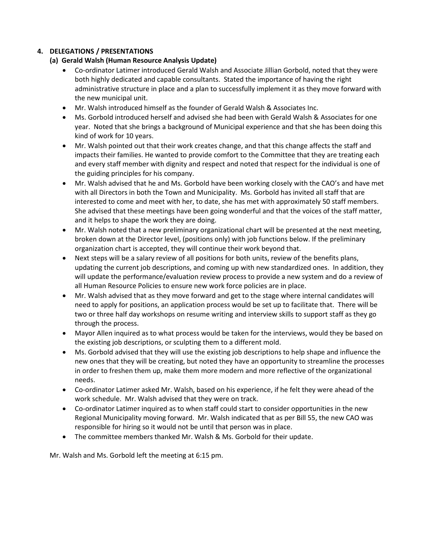# **4. DELEGATIONS / PRESENTATIONS**

# **(a) Gerald Walsh (Human Resource Analysis Update)**

- Co-ordinator Latimer introduced Gerald Walsh and Associate Jillian Gorbold, noted that they were both highly dedicated and capable consultants. Stated the importance of having the right administrative structure in place and a plan to successfully implement it as they move forward with the new municipal unit.
- Mr. Walsh introduced himself as the founder of Gerald Walsh & Associates Inc.
- Ms. Gorbold introduced herself and advised she had been with Gerald Walsh & Associates for one year. Noted that she brings a background of Municipal experience and that she has been doing this kind of work for 10 years.
- Mr. Walsh pointed out that their work creates change, and that this change affects the staff and impacts their families. He wanted to provide comfort to the Committee that they are treating each and every staff member with dignity and respect and noted that respect for the individual is one of the guiding principles for his company.
- Mr. Walsh advised that he and Ms. Gorbold have been working closely with the CAO's and have met with all Directors in both the Town and Municipality. Ms. Gorbold has invited all staff that are interested to come and meet with her, to date, she has met with approximately 50 staff members. She advised that these meetings have been going wonderful and that the voices of the staff matter, and it helps to shape the work they are doing.
- Mr. Walsh noted that a new preliminary organizational chart will be presented at the next meeting, broken down at the Director level, (positions only) with job functions below. If the preliminary organization chart is accepted, they will continue their work beyond that.
- Next steps will be a salary review of all positions for both units, review of the benefits plans, updating the current job descriptions, and coming up with new standardized ones. In addition, they will update the performance/evaluation review process to provide a new system and do a review of all Human Resource Policies to ensure new work force policies are in place.
- Mr. Walsh advised that as they move forward and get to the stage where internal candidates will need to apply for positions, an application process would be set up to facilitate that. There will be two or three half day workshops on resume writing and interview skills to support staff as they go through the process.
- Mayor Allen inquired as to what process would be taken for the interviews, would they be based on the existing job descriptions, or sculpting them to a different mold.
- Ms. Gorbold advised that they will use the existing job descriptions to help shape and influence the new ones that they will be creating, but noted they have an opportunity to streamline the processes in order to freshen them up, make them more modern and more reflective of the organizational needs.
- Co-ordinator Latimer asked Mr. Walsh, based on his experience, if he felt they were ahead of the work schedule. Mr. Walsh advised that they were on track.
- Co-ordinator Latimer inquired as to when staff could start to consider opportunities in the new Regional Municipality moving forward. Mr. Walsh indicated that as per Bill 55, the new CAO was responsible for hiring so it would not be until that person was in place.
- The committee members thanked Mr. Walsh & Ms. Gorbold for their update.

Mr. Walsh and Ms. Gorbold left the meeting at 6:15 pm.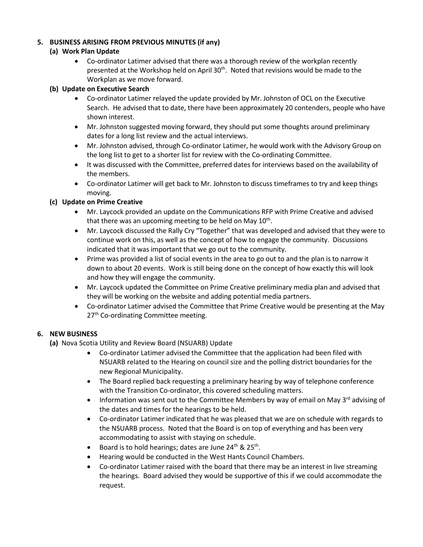# **5. BUSINESS ARISING FROM PREVIOUS MINUTES (if any)**

#### **(a) Work Plan Update**

• Co-ordinator Latimer advised that there was a thorough review of the workplan recently presented at the Workshop held on April 30<sup>th</sup>. Noted that revisions would be made to the Workplan as we move forward.

#### **(b) Update on Executive Search**

- Co-ordinator Latimer relayed the update provided by Mr. Johnston of OCL on the Executive Search. He advised that to date, there have been approximately 20 contenders, people who have shown interest.
- Mr. Johnston suggested moving forward, they should put some thoughts around preliminary dates for a long list review and the actual interviews.
- Mr. Johnston advised, through Co-ordinator Latimer, he would work with the Advisory Group on the long list to get to a shorter list for review with the Co-ordinating Committee.
- It was discussed with the Committee, preferred dates for interviews based on the availability of the members.
- Co-ordinator Latimer will get back to Mr. Johnston to discuss timeframes to try and keep things moving.

# **(c) Update on Prime Creative**

- Mr. Laycock provided an update on the Communications RFP with Prime Creative and advised that there was an upcoming meeting to be held on May  $10^{th}$ .
- Mr. Laycock discussed the Rally Cry "Together" that was developed and advised that they were to continue work on this, as well as the concept of how to engage the community. Discussions indicated that it was important that we go out to the community.
- Prime was provided a list of social events in the area to go out to and the plan is to narrow it down to about 20 events. Work is still being done on the concept of how exactly this will look and how they will engage the community.
- Mr. Laycock updated the Committee on Prime Creative preliminary media plan and advised that they will be working on the website and adding potential media partners.
- Co-ordinator Latimer advised the Committee that Prime Creative would be presenting at the May 27<sup>th</sup> Co-ordinating Committee meeting.

# **6. NEW BUSINESS**

- **(a)** Nova Scotia Utility and Review Board (NSUARB) Update
	- Co-ordinator Latimer advised the Committee that the application had been filed with NSUARB related to the Hearing on council size and the polling district boundaries for the new Regional Municipality.
	- The Board replied back requesting a preliminary hearing by way of telephone conference with the Transition Co-ordinator, this covered scheduling matters.
	- Information was sent out to the Committee Members by way of email on May 3<sup>rd</sup> advising of the dates and times for the hearings to be held.
	- Co-ordinator Latimer indicated that he was pleased that we are on schedule with regards to the NSUARB process. Noted that the Board is on top of everything and has been very accommodating to assist with staying on schedule.
	- Board is to hold hearings; dates are June  $24^{th}$  &  $25^{th}$ .
	- Hearing would be conducted in the West Hants Council Chambers.
	- Co-ordinator Latimer raised with the board that there may be an interest in live streaming the hearings. Board advised they would be supportive of this if we could accommodate the request.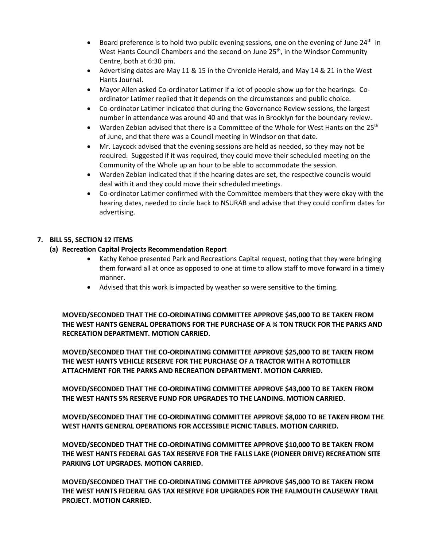- Board preference is to hold two public evening sessions, one on the evening of June  $24<sup>th</sup>$  in West Hants Council Chambers and the second on June 25<sup>th</sup>, in the Windsor Community Centre, both at 6:30 pm.
- Advertising dates are May 11 & 15 in the Chronicle Herald, and May 14 & 21 in the West Hants Journal.
- Mayor Allen asked Co-ordinator Latimer if a lot of people show up for the hearings. Coordinator Latimer replied that it depends on the circumstances and public choice.
- Co-ordinator Latimer indicated that during the Governance Review sessions, the largest number in attendance was around 40 and that was in Brooklyn for the boundary review.
- Warden Zebian advised that there is a Committee of the Whole for West Hants on the 25<sup>th</sup> of June, and that there was a Council meeting in Windsor on that date.
- Mr. Laycock advised that the evening sessions are held as needed, so they may not be required. Suggested if it was required, they could move their scheduled meeting on the Community of the Whole up an hour to be able to accommodate the session.
- Warden Zebian indicated that if the hearing dates are set, the respective councils would deal with it and they could move their scheduled meetings.
- Co-ordinator Latimer confirmed with the Committee members that they were okay with the hearing dates, needed to circle back to NSURAB and advise that they could confirm dates for advertising.

# **7. BILL 55, SECTION 12 ITEMS**

# **(a) Recreation Capital Projects Recommendation Report**

- Kathy Kehoe presented Park and Recreations Capital request, noting that they were bringing them forward all at once as opposed to one at time to allow staff to move forward in a timely manner.
- Advised that this work is impacted by weather so were sensitive to the timing.

**MOVED/SECONDED THAT THE CO-ORDINATING COMMITTEE APPROVE \$45,000 TO BE TAKEN FROM THE WEST HANTS GENERAL OPERATIONS FOR THE PURCHASE OF A ¾ TON TRUCK FOR THE PARKS AND RECREATION DEPARTMENT. MOTION CARRIED.**

**MOVED/SECONDED THAT THE CO-ORDINATING COMMITTEE APPROVE \$25,000 TO BE TAKEN FROM THE WEST HANTS VEHICLE RESERVE FOR THE PURCHASE OF A TRACTOR WITH A ROTOTILLER ATTACHMENT FOR THE PARKS AND RECREATION DEPARTMENT. MOTION CARRIED.**

**MOVED/SECONDED THAT THE CO-ORDINATING COMMITTEE APPROVE \$43,000 TO BE TAKEN FROM THE WEST HANTS 5% RESERVE FUND FOR UPGRADES TO THE LANDING. MOTION CARRIED.**

**MOVED/SECONDED THAT THE CO-ORDINATING COMMITTEE APPROVE \$8,000 TO BE TAKEN FROM THE WEST HANTS GENERAL OPERATIONS FOR ACCESSIBLE PICNIC TABLES. MOTION CARRIED.**

**MOVED/SECONDED THAT THE CO-ORDINATING COMMITTEE APPROVE \$10,000 TO BE TAKEN FROM THE WEST HANTS FEDERAL GAS TAX RESERVE FOR THE FALLS LAKE (PIONEER DRIVE) RECREATION SITE PARKING LOT UPGRADES. MOTION CARRIED.**

**MOVED/SECONDED THAT THE CO-ORDINATING COMMITTEE APPROVE \$45,000 TO BE TAKEN FROM THE WEST HANTS FEDERAL GAS TAX RESERVE FOR UPGRADES FOR THE FALMOUTH CAUSEWAY TRAIL PROJECT. MOTION CARRIED.**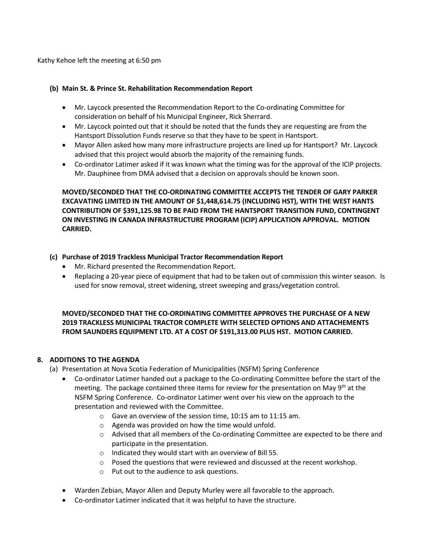Kathy Kehoe left the meeting at 6:50 pm

### **(b) Main St. & Prince St. Rehabilitation Recommendation Report**

- Mr. Laycock presented the Recommendation Report to the Co-ordinating Committee for consideration on behalf of his Municipal Engineer, Rick Sherrard.
- Mr. Laycock pointed out that it should be noted that the funds they are requesting are from the Hantsport Dissolution Funds reserve so that they have to be spent in Hantsport.
- Mayor Allen asked how many more infrastructure projects are lined up for Hantsport? Mr. Laycock advised that this project would absorb the majority of the remaining funds.
- Co-ordinator Latimer asked if it was known what the timing was for the approval of the ICIP projects. Mr. Dauphinee from DMA advised that a decision on approvals should be known soon.

**MOVED/SECONDED THAT THE CO-ORDINATING COMMITTEE ACCEPTS THE TENDER OF GARY PARKER EXCAVATING LIMITED IN THE AMOUNT OF \$1,448,614.75 (INCLUDING HST), WITH THE WEST HANTS CONTRIBUTION OF \$391,125.98 TO BE PAID FROM THE HANTSPORT TRANSITION FUND, CONTINGENT ON INVESTING IN CANADA INFRASTRUCTURE PROGRAM (ICIP) APPLICATION APPROVAL. MOTION CARRIED.**

# **(c) Purchase of 2019 Trackless Municipal Tractor Recommendation Report**

- Mr. Richard presented the Recommendation Report.
- Replacing a 20-year piece of equipment that had to be taken out of commission this winter season. Is used for snow removal, street widening, street sweeping and grass/vegetation control.

**MOVED/SECONDED THAT THE CO-ORDINATING COMMITTEE APPROVES THE PURCHASE OF A NEW 2019 TRACKLESS MUNICIPAL TRACTOR COMPLETE WITH SELECTED OPTIONS AND ATTACHEMENTS FROM SAUNDERS EQUIPMENT LTD. AT A COST OF \$191,313.00 PLUS HST. MOTION CARRIED.**

# **8. ADDITIONS TO THE AGENDA**

- (a) Presentation at Nova Scotia Federation of Municipalities (NSFM) Spring Conference
	- Co-ordinator Latimer handed out a package to the Co-ordinating Committee before the start of the meeting. The package contained three items for review for the presentation on May 9<sup>th</sup> at the NSFM Spring Conference. Co-ordinator Latimer went over his view on the approach to the presentation and reviewed with the Committee.
		- o Gave an overview of the session time, 10:15 am to 11:15 am.
		- o Agenda was provided on how the time would unfold.
		- o Advised that all members of the Co-ordinating Committee are expected to be there and participate in the presentation.
		- o Indicated they would start with an overview of Bill 55.
		- o Posed the questions that were reviewed and discussed at the recent workshop.
		- o Put out to the audience to ask questions.
	- Warden Zebian, Mayor Allen and Deputy Murley were all favorable to the approach.
	- Co-ordinator Latimer indicated that it was helpful to have the structure.